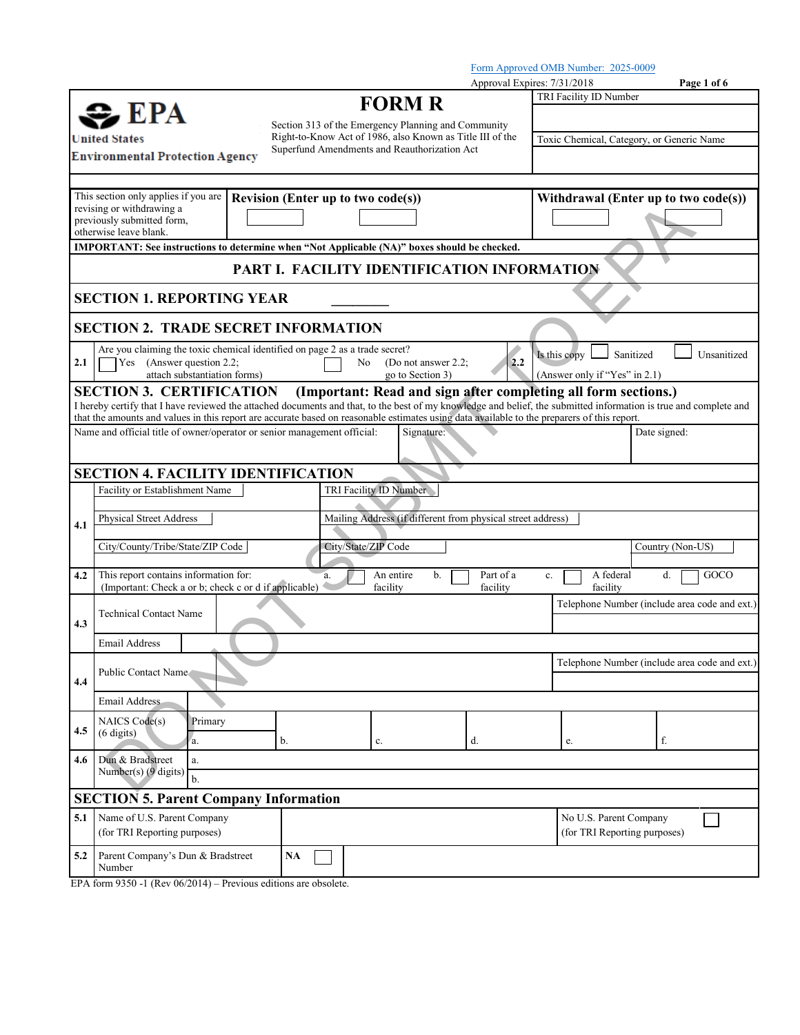|               |                                                                                                                                                                                                      |                                             |    |                                              |                                                             | Approval Expires: 7/31/2018 |                                                                | Page 1 of 6                                   |  |
|---------------|------------------------------------------------------------------------------------------------------------------------------------------------------------------------------------------------------|---------------------------------------------|----|----------------------------------------------|-------------------------------------------------------------|-----------------------------|----------------------------------------------------------------|-----------------------------------------------|--|
|               |                                                                                                                                                                                                      |                                             |    | <b>FORM R</b>                                |                                                             |                             | TRI Facility ID Number                                         |                                               |  |
|               | $\geq$ EPA                                                                                                                                                                                           |                                             |    |                                              | Section 313 of the Emergency Planning and Community         |                             |                                                                |                                               |  |
| United States |                                                                                                                                                                                                      |                                             |    |                                              | Right-to-Know Act of 1986, also Known as Title III of the   |                             | Toxic Chemical, Category, or Generic Name                      |                                               |  |
|               | <b>Environmental Protection Agency</b>                                                                                                                                                               |                                             |    | Superfund Amendments and Reauthorization Act |                                                             |                             |                                                                |                                               |  |
|               |                                                                                                                                                                                                      |                                             |    |                                              |                                                             |                             |                                                                |                                               |  |
|               | This section only applies if you are                                                                                                                                                                 | Revision (Enter up to two code(s))          |    |                                              |                                                             |                             |                                                                | Withdrawal (Enter up to two code(s))          |  |
|               | revising or withdrawing a                                                                                                                                                                            |                                             |    |                                              |                                                             |                             |                                                                |                                               |  |
|               | previously submitted form,<br>otherwise leave blank.                                                                                                                                                 |                                             |    |                                              |                                                             |                             |                                                                |                                               |  |
|               | IMPORTANT: See instructions to determine when "Not Applicable (NA)" boxes should be checked.                                                                                                         |                                             |    |                                              |                                                             |                             |                                                                |                                               |  |
|               |                                                                                                                                                                                                      | PART I. FACILITY IDENTIFICATION INFORMATION |    |                                              |                                                             |                             |                                                                |                                               |  |
|               | <b>SECTION 1. REPORTING YEAR</b>                                                                                                                                                                     |                                             |    |                                              |                                                             |                             |                                                                |                                               |  |
|               | <b>SECTION 2. TRADE SECRET INFORMATION</b>                                                                                                                                                           |                                             |    |                                              |                                                             |                             |                                                                |                                               |  |
|               | Are you claiming the toxic chemical identified on page $2$ as a trade secret?                                                                                                                        |                                             |    |                                              |                                                             |                             |                                                                |                                               |  |
| 2.1           | Yes (Answer question 2.2;                                                                                                                                                                            |                                             |    | No                                           | (Do not answer $2.2$ ;                                      | 2.2                         | Is this copy                                                   | Sanitized<br>Unsanitized                      |  |
|               | attach substantiation forms)                                                                                                                                                                         |                                             |    | go to Section 3)                             |                                                             |                             | (Answer only if "Yes" in 2.1)                                  |                                               |  |
|               | <b>SECTION 3. CERTIFICATION</b><br>I hereby certify that I have reviewed the attached documents and that, to the best of my knowledge and belief, the submitted information is true and complete and |                                             |    |                                              |                                                             |                             | (Important: Read and sign after completing all form sections.) |                                               |  |
|               | that the amounts and values in this report are accurate based on reasonable estimates using data available to the preparers of this report.                                                          |                                             |    |                                              |                                                             |                             |                                                                |                                               |  |
|               | Name and official title of owner/operator or senior management official:                                                                                                                             |                                             |    |                                              | Signature:                                                  |                             |                                                                | Date signed:                                  |  |
|               |                                                                                                                                                                                                      |                                             |    |                                              |                                                             |                             |                                                                |                                               |  |
|               | <b>SECTION 4. FACILITY IDENTIFICATION</b>                                                                                                                                                            |                                             |    |                                              |                                                             |                             |                                                                |                                               |  |
|               | Facility or Establishment Name                                                                                                                                                                       |                                             |    | TRI Facility ID Number                       |                                                             |                             |                                                                |                                               |  |
|               |                                                                                                                                                                                                      |                                             |    |                                              |                                                             |                             |                                                                |                                               |  |
| 4.1           | <b>Physical Street Address</b>                                                                                                                                                                       |                                             |    |                                              | Mailing Address (if different from physical street address) |                             |                                                                |                                               |  |
|               | City/County/Tribe/State/ZIP Code                                                                                                                                                                     |                                             |    | City/State/ZIP Code                          |                                                             |                             |                                                                | Country (Non-US)                              |  |
|               |                                                                                                                                                                                                      |                                             |    |                                              |                                                             |                             |                                                                |                                               |  |
| 4.2           | This report contains information for:<br>(Important: Check a or b; check c or d if applicable)                                                                                                       |                                             | a. | An entire<br>facility                        | b.                                                          | Part of a<br>facility       | A federal<br>$c_{.}$<br>facility                               | GOCO<br>d.                                    |  |
|               |                                                                                                                                                                                                      |                                             |    |                                              |                                                             |                             |                                                                | Telephone Number (include area code and ext.) |  |
| 4.3           | <b>Technical Contact Name</b>                                                                                                                                                                        |                                             |    |                                              |                                                             |                             |                                                                |                                               |  |
|               | <b>Email Address</b>                                                                                                                                                                                 |                                             |    |                                              |                                                             |                             |                                                                |                                               |  |
|               |                                                                                                                                                                                                      |                                             |    |                                              |                                                             |                             |                                                                | Telephone Number (include area code and ext.) |  |
| 4.4           | Public Contact Name                                                                                                                                                                                  |                                             |    |                                              |                                                             |                             |                                                                |                                               |  |
|               | Email Address                                                                                                                                                                                        |                                             |    |                                              |                                                             |                             |                                                                |                                               |  |
|               |                                                                                                                                                                                                      |                                             |    |                                              |                                                             |                             |                                                                |                                               |  |
| 4.5           | NAICS Code(s)<br>Primary<br>$(6 \text{ digits})$                                                                                                                                                     |                                             |    |                                              |                                                             |                             |                                                                |                                               |  |
|               | a.                                                                                                                                                                                                   | b.                                          |    | c.                                           | d.                                                          |                             | e.                                                             | f.                                            |  |
| 4.6           | Dun & Bradstreet<br>a.<br>Number(s) (9 digits)                                                                                                                                                       |                                             |    |                                              |                                                             |                             |                                                                |                                               |  |
|               | b.                                                                                                                                                                                                   |                                             |    |                                              |                                                             |                             |                                                                |                                               |  |
|               | <b>SECTION 5. Parent Company Information</b>                                                                                                                                                         |                                             |    |                                              |                                                             |                             |                                                                |                                               |  |
| 5.1           | Name of U.S. Parent Company                                                                                                                                                                          |                                             |    |                                              |                                                             |                             | No U.S. Parent Company                                         |                                               |  |
|               | (for TRI Reporting purposes)                                                                                                                                                                         |                                             |    |                                              |                                                             |                             |                                                                | (for TRI Reporting purposes)                  |  |
| 5.2           | Parent Company's Dun & Bradstreet                                                                                                                                                                    | NA                                          |    |                                              |                                                             |                             |                                                                |                                               |  |
|               | Number                                                                                                                                                                                               |                                             |    |                                              |                                                             |                             |                                                                |                                               |  |

EPA form 9350 -1 (Rev 06/2014) – Previous editions are obsolete.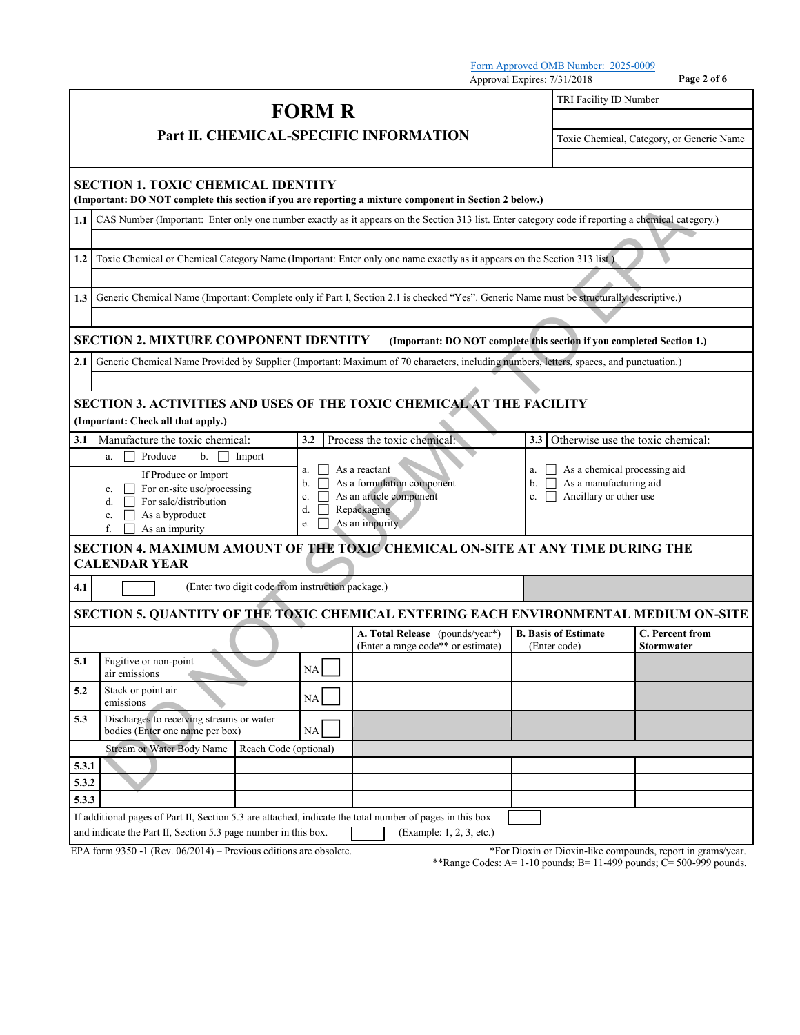Approval Expires: 7/31/2018 **Page 2 of 6 FORM R Part II. CHEMICAL-SPECIFIC INFORMATION** TRI Facility ID Number Toxic Chemical, Category, or Generic Name **SECTION 1. TOXIC CHEMICAL IDENTITY (Important: DO NOT complete this section if you are reporting a mixture component in Section 2 below.) 1.1** CAS Number (Important: Enter only one number exactly as it appears on the Section 313 list. Enter category code if reporting a chemical category.) **1.2** Toxic Chemical or Chemical Category Name (Important: Enter only one name exactly as it appears on the Section 313 list.) **1.3** Generic Chemical Name (Important: Complete only if Part I, Section 2.1 is checked "Yes". Generic Name must be structurally descriptive.) **SECTION 2. MIXTURE COMPONENT IDENTITY (Important: DO NOT complete this section if you completed Section 1.)** 2.1 Generic Chemical Name Provided by Supplier (Important: Maximum of 70 characters, including numbers, letters, spaces, and punctuation.) **SECTION 3. ACTIVITIES AND USES OF THE TOXIC CHEMICAL AT THE FACILITY (Important: Check all that apply.) 3.1** Manufacture the toxic chemical: **3.2** Process the toxic chemical: **3.3** Otherwise use the toxic chemical: a.  $\Box$  Produce b.  $\Box$  Import a.  $\Box$  As a reactant b.  $\Box$  As a formulation component c.  $\Box$  As an article component  $c. \Box$  As an article component d. Repackaging e.  $\Box$  As an impurity a.  $\Box$  As a chemical processing aid  $b.$   $\Box$  As a manufacturing aid c.  $\Box$  Ancillary or other use If Produce or Import c.  $\Box$  For on-site use/processing d.  $\hfill\Box$  For sale/distribution e.  $\overline{\Box}$  As a byproduct  $\Box$  As an impurity **SECTION 4. MAXIMUM AMOUNT OF THE TOXIC CHEMICAL ON-SITE AT ANY TIME DURING THE CALENDAR YEAR 4.1** (Enter two digit code from instruction package.) **SECTION 5. QUANTITY OF THE TOXIC CHEMICAL ENTERING EACH ENVIRONMENTAL MEDIUM ON-SITE A. Total Release** (pounds/year\*) (Enter a range code\*\* or estimate) **B. Basis of Estimate** (Enter code) **C. Percent from Stormwater 5.1** Fugitive or non-point  $NA$   $\Box$ 5.2 Stack or point air
emissions
NA **5.3** Discharges to receiving streams or water bodies (Enter one name per box) NA Stream or Water Body Name Reach Code (optional) **5.3.1 5.3.2 5.3.3** If additional pages of Part II, Section 5.3 are attached, indicate the total number of pages in this box and indicate the Part II, Section 5.3 page number in this box. (Example: 1, 2, 3, etc.) EPA form 9350 -1 (Rev. 06/2014) – Previous editions are obsolete. \*For Dioxin or Dioxin-like compounds, report in grams/year. The COVID-ONE DESCRIPTION SECTION CONTROLL CONTROLL CONTROLL CONTROLL CONTROLL CONTROLL CONTROLL CONTROLL CONTROLL CONTROLL CONTROLL CONTROLL CONTROLL CONTROLL CONTROLL CONTROLL CONTROLL CONTROLL CONTROLL CONTROLL CONTROL

\*\*Range Codes: A= 1-10 pounds; B= 11-499 pounds; C= 500-999 pounds.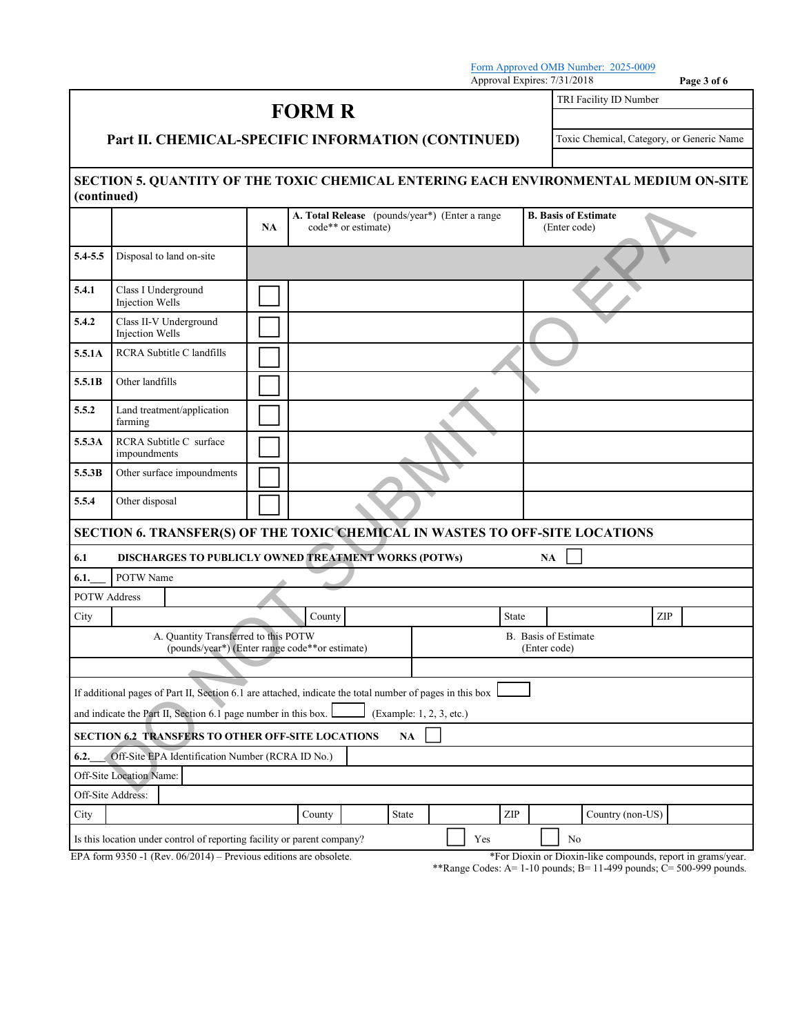Approval Expires: 7/31/2018 **Page 3 of 6 FORM R Part II. CHEMICAL-SPECIFIC INFORMATION (CONTINUED)** TRI Facility ID Number Toxic Chemical, Category, or Generic Name **SECTION 5. QUANTITY OF THE TOXIC CHEMICAL ENTERING EACH ENVIRONMENTAL MEDIUM ON-SITE (continued) NA A. Total Release** (pounds/year\*) (Enter a range code\*\* or estimate) **B. Basis of Estimate** (Enter code) **5.4-5.5** Disposal to land on-site **5.4.1** Class I Underground<br>
Injection Wells **5.4.2** Class II-V Underground<br>
Injection Wells **5.5.1A** RCRA Subtitle C landfills **5.5.1B** Other landfills **5.5.2** Land treatment/application farming **5.5.3A** RCRA Subtitle C surface **5.5.3B** Other surface impoundments **5.5.4** Other disposal **SECTION 6. TRANSFER(S) OF THE TOXIC CHEMICAL IN WASTES TO OFF-SITE LOCATIONS 6.1 DISCHARGES TO PUBLICLY OWNED TREATMENT WORKS (POTWs) NA 6.1.\_\_\_** POTW Name POTW Address County County State ZIP A. Quantity Transferred to this POTW (pounds/year\*) (Enter range code\*\*or estimate) B. Basis of Estimate (Enter code) If additional pages of Part II, Section 6.1 are attached, indicate the total number of pages in this box and indicate the Part II, Section 6.1 page number in this box.  $\Box$  (Example: 1, 2, 3, etc.) **SECTION 6.2 TRANSFERS TO OTHER OFF-SITE LOCATIONS NA 6.2.\_\_\_** Off-Site EPA Identification Number (RCRA ID No.) Off-Site Location Name: Off-Site Address: City Country Country State ZIP Country (non-US) **Example 12**<br>
Disposal to hard on-site<br>
Disposal to hard on-site<br>
Disposal to hard on-site<br>
Class 11 Underground<br>
Equal to Market Class 11<br>
The Hard Market Class 11<br>
Supposal to hard one state.<br>
The Hard Market Class 11<br>

Is this location under control of reporting facility or parent company? Yes No

EPA form 9350 -1 (Rev. 06/2014) – Previous editions are obsolete. \*\*\* For Dioxin or Dioxin-like compounds, report in grams/year.

\*\*Range Codes: A= 1-10 pounds; B= 11-499 pounds; C= 500-999 pounds.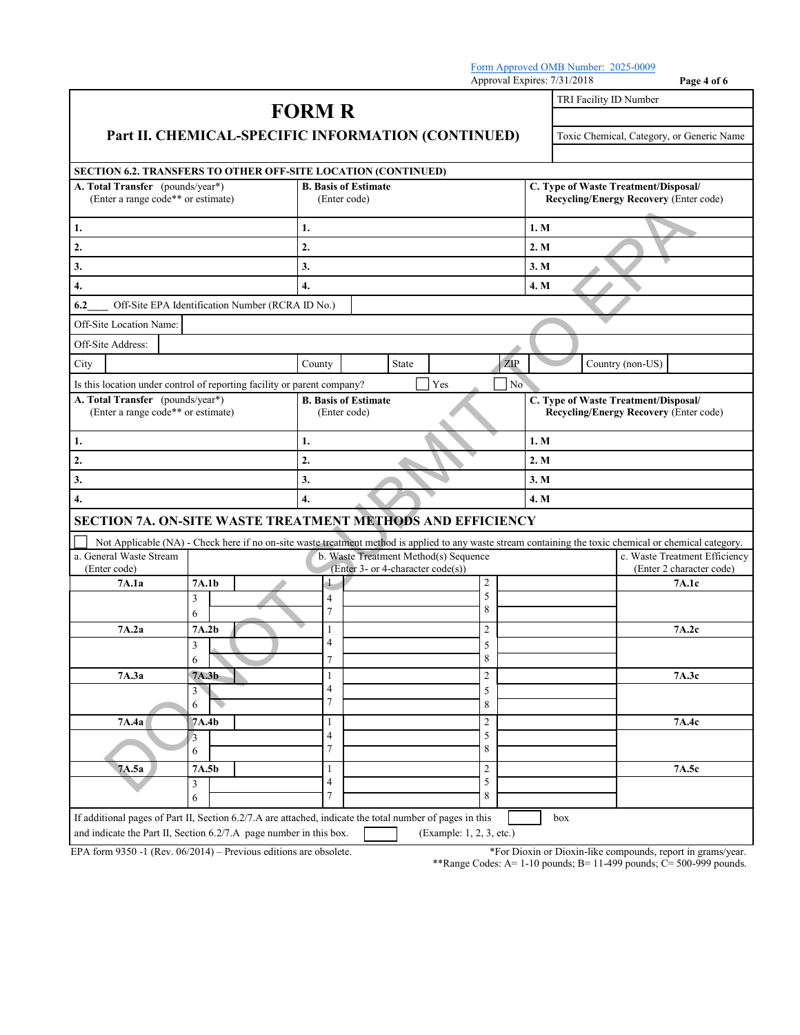|                                                                                                                                                                                |                  |                                             |               |                                                                            |       |                          |                                                                                |                  | Approval Expires: 7/31/2018                   |                  | Page 4 of 6                                                 |
|--------------------------------------------------------------------------------------------------------------------------------------------------------------------------------|------------------|---------------------------------------------|---------------|----------------------------------------------------------------------------|-------|--------------------------|--------------------------------------------------------------------------------|------------------|-----------------------------------------------|------------------|-------------------------------------------------------------|
| Part II. CHEMICAL-SPECIFIC INFORMATION (CONTINUED)                                                                                                                             |                  |                                             | <b>FORM R</b> |                                                                            |       |                          |                                                                                |                  | TRI Facility ID Number                        |                  | Toxic Chemical, Category, or Generic Name                   |
| SECTION 6.2. TRANSFERS TO OTHER OFF-SITE LOCATION (CONTINUED)                                                                                                                  |                  |                                             |               |                                                                            |       |                          |                                                                                |                  |                                               |                  |                                                             |
| A. Total Transfer (pounds/year*)                                                                                                                                               |                  |                                             |               |                                                                            |       |                          |                                                                                |                  | C. Type of Waste Treatment/Disposal/          |                  |                                                             |
| (Enter a range code** or estimate)                                                                                                                                             |                  |                                             |               | <b>B. Basis of Estimate</b><br>(Enter code)                                |       |                          |                                                                                |                  | <b>Recycling/Energy Recovery (Enter code)</b> |                  |                                                             |
| 1.                                                                                                                                                                             |                  |                                             | 1.            |                                                                            |       |                          |                                                                                | 1. M             |                                               |                  |                                                             |
| 2.                                                                                                                                                                             |                  |                                             | 2.            |                                                                            |       |                          |                                                                                |                  | 2. M                                          |                  |                                                             |
| 3.                                                                                                                                                                             |                  |                                             | 3.            |                                                                            |       |                          |                                                                                |                  | 3. M                                          |                  |                                                             |
| 4.                                                                                                                                                                             |                  |                                             | 4.            |                                                                            |       |                          |                                                                                |                  | 4. M                                          |                  |                                                             |
| 6.2<br>Off-Site EPA Identification Number (RCRA ID No.)                                                                                                                        |                  |                                             |               |                                                                            |       |                          |                                                                                |                  |                                               |                  |                                                             |
| Off-Site Location Name:                                                                                                                                                        |                  |                                             |               |                                                                            |       |                          |                                                                                |                  |                                               |                  |                                                             |
| Off-Site Address:                                                                                                                                                              |                  |                                             |               |                                                                            |       |                          |                                                                                |                  |                                               |                  |                                                             |
| City                                                                                                                                                                           |                  |                                             | County        |                                                                            | State |                          |                                                                                | $\overline{ZIP}$ |                                               | Country (non-US) |                                                             |
| Is this location under control of reporting facility or parent company?                                                                                                        |                  |                                             |               |                                                                            |       | Yes                      |                                                                                | No               |                                               |                  |                                                             |
| A. Total Transfer (pounds/year*)<br>(Enter a range code** or estimate)                                                                                                         |                  | <b>B.</b> Basis of Estimate<br>(Enter code) |               |                                                                            |       |                          | C. Type of Waste Treatment/Disposal/<br>Recycling/Energy Recovery (Enter code) |                  |                                               |                  |                                                             |
| 1.                                                                                                                                                                             |                  |                                             | 1.            |                                                                            |       |                          |                                                                                |                  | 1. M                                          |                  |                                                             |
| 2.                                                                                                                                                                             |                  |                                             | 2.            |                                                                            |       |                          |                                                                                |                  | 2. M                                          |                  |                                                             |
| 3.                                                                                                                                                                             |                  |                                             | 3.            |                                                                            |       |                          | 3. M                                                                           |                  |                                               |                  |                                                             |
| 4.                                                                                                                                                                             | $\overline{4}$ . |                                             |               |                                                                            |       | 4. M                     |                                                                                |                  |                                               |                  |                                                             |
| SECTION 7A. ON-SITE WASTE TREATMENT METHODS AND EFFICIENCY                                                                                                                     |                  |                                             |               |                                                                            |       |                          |                                                                                |                  |                                               |                  |                                                             |
| Not Applicable (NA) - Check here if no on-site waste treatment method is applied to any waste stream containing the toxic chemical or chemical category.                       |                  |                                             |               |                                                                            |       |                          |                                                                                |                  |                                               |                  |                                                             |
| a. General Waste Stream<br>(Enter code)                                                                                                                                        |                  |                                             |               | b. Waste Treatment Method(s) Sequence<br>(Enter 3- or 4-character code(s)) |       |                          |                                                                                |                  |                                               |                  | c. Waste Treatment Efficiency<br>(Enter 2 character code)   |
| 7A.1a                                                                                                                                                                          | 7A.1b            |                                             |               |                                                                            |       |                          | $\overline{c}$                                                                 |                  |                                               |                  | 7A.1c                                                       |
|                                                                                                                                                                                | 3                |                                             | 4             |                                                                            |       |                          | 5                                                                              |                  |                                               |                  |                                                             |
|                                                                                                                                                                                | 6                |                                             | 7             |                                                                            |       |                          | 8                                                                              |                  |                                               |                  |                                                             |
| 7A.2a                                                                                                                                                                          | 7A.2b            |                                             | 1<br>4        |                                                                            |       |                          | 2                                                                              |                  |                                               |                  | 7A.2c                                                       |
|                                                                                                                                                                                | 3<br>6           |                                             |               |                                                                            |       |                          | 5<br>8                                                                         |                  |                                               |                  |                                                             |
| 7A.3a                                                                                                                                                                          | 7A.3b            |                                             | 1             |                                                                            |       |                          | $\overline{c}$                                                                 |                  |                                               |                  | 7A.3c                                                       |
|                                                                                                                                                                                | 3                |                                             | 4             |                                                                            |       |                          | 5                                                                              |                  |                                               |                  |                                                             |
|                                                                                                                                                                                | 6                |                                             | 7             |                                                                            |       |                          | 8                                                                              |                  |                                               |                  |                                                             |
| 7A.4a                                                                                                                                                                          | 7A.4b            |                                             | 1<br>4        |                                                                            |       |                          | 2<br>5                                                                         |                  |                                               |                  | 7A.4c                                                       |
|                                                                                                                                                                                | $\beta$<br>6     |                                             | 7             |                                                                            |       |                          | 8                                                                              |                  |                                               |                  |                                                             |
| 7A.5a                                                                                                                                                                          | 7A.5b            |                                             | 1             |                                                                            |       |                          | $\overline{c}$                                                                 |                  |                                               |                  | 7A.5c                                                       |
|                                                                                                                                                                                | 3                |                                             | 4<br>7        |                                                                            |       |                          | 5<br>8                                                                         |                  |                                               |                  |                                                             |
|                                                                                                                                                                                | 6                |                                             |               |                                                                            |       |                          |                                                                                |                  |                                               |                  |                                                             |
| If additional pages of Part II, Section 6.2/7.A are attached, indicate the total number of pages in this<br>and indicate the Part II, Section 6.2/7.A page number in this box. |                  |                                             |               |                                                                            |       | (Example: 1, 2, 3, etc.) |                                                                                |                  | box                                           |                  |                                                             |
| EPA form $9350 - 1$ (Rev. $06/2014$ ) – Previous editions are obsolete.                                                                                                        |                  |                                             |               |                                                                            |       |                          |                                                                                |                  |                                               |                  | *For Dioxin or Dioxin-like compounds, report in grams/year. |

\*\*Range Codes:  $A=1-10$  pounds;  $B=11-499$  pounds;  $C=500-999$  pounds.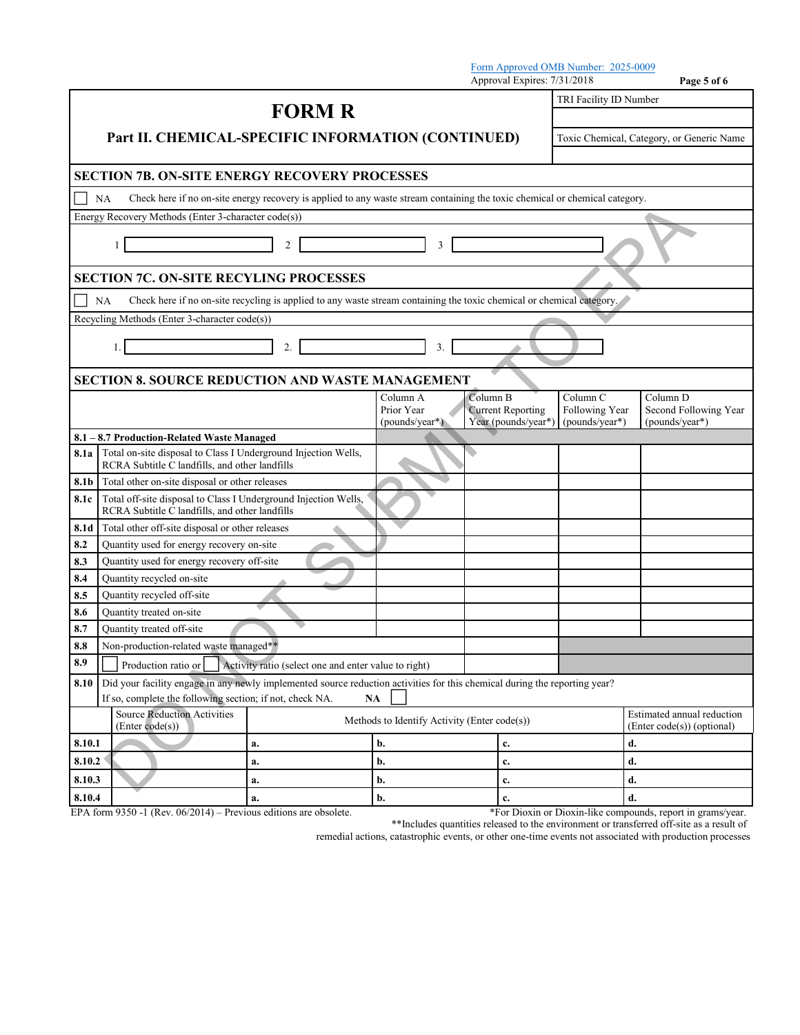|                                                                                                                                                                                                             |                                                                                                                                          |                                                                                                                       |                                          |          | Approval Expires: 7/31/2018                     | Form Approved OMB Number: 2025-0009          | Page 5 of 6                                              |  |  |
|-------------------------------------------------------------------------------------------------------------------------------------------------------------------------------------------------------------|------------------------------------------------------------------------------------------------------------------------------------------|-----------------------------------------------------------------------------------------------------------------------|------------------------------------------|----------|-------------------------------------------------|----------------------------------------------|----------------------------------------------------------|--|--|
|                                                                                                                                                                                                             |                                                                                                                                          |                                                                                                                       |                                          |          |                                                 | TRI Facility ID Number                       |                                                          |  |  |
|                                                                                                                                                                                                             | <b>FORM R</b>                                                                                                                            |                                                                                                                       |                                          |          |                                                 |                                              |                                                          |  |  |
| Part II. CHEMICAL-SPECIFIC INFORMATION (CONTINUED)                                                                                                                                                          |                                                                                                                                          |                                                                                                                       |                                          |          |                                                 |                                              | Toxic Chemical, Category, or Generic Name                |  |  |
|                                                                                                                                                                                                             | <b>SECTION 7B. ON-SITE ENERGY RECOVERY PROCESSES</b>                                                                                     |                                                                                                                       |                                          |          |                                                 |                                              |                                                          |  |  |
|                                                                                                                                                                                                             | Check here if no on-site energy recovery is applied to any waste stream containing the toxic chemical or chemical category.<br><b>NA</b> |                                                                                                                       |                                          |          |                                                 |                                              |                                                          |  |  |
|                                                                                                                                                                                                             | Energy Recovery Methods (Enter 3-character code(s))                                                                                      |                                                                                                                       |                                          |          |                                                 |                                              |                                                          |  |  |
|                                                                                                                                                                                                             | $\overline{c}$<br>3<br>1                                                                                                                 |                                                                                                                       |                                          |          |                                                 |                                              |                                                          |  |  |
|                                                                                                                                                                                                             | <b>SECTION 7C. ON-SITE RECYLING PROCESSES</b>                                                                                            |                                                                                                                       |                                          |          |                                                 |                                              |                                                          |  |  |
|                                                                                                                                                                                                             | NA                                                                                                                                       | Check here if no on-site recycling is applied to any waste stream containing the toxic chemical or chemical category. |                                          |          |                                                 |                                              |                                                          |  |  |
|                                                                                                                                                                                                             | Recycling Methods (Enter 3-character code(s))                                                                                            |                                                                                                                       |                                          |          |                                                 |                                              |                                                          |  |  |
|                                                                                                                                                                                                             | 2.<br>3.<br>1.                                                                                                                           |                                                                                                                       |                                          |          |                                                 |                                              |                                                          |  |  |
|                                                                                                                                                                                                             | <b>SECTION 8. SOURCE REDUCTION AND WASTE MANAGEMENT</b>                                                                                  |                                                                                                                       |                                          |          |                                                 |                                              |                                                          |  |  |
|                                                                                                                                                                                                             |                                                                                                                                          |                                                                                                                       | Column A<br>Prior Year<br>(pounds/year*) | Column B | <b>Current Reporting</b><br>Year (pounds/year*) | Column C<br>Following Year<br>(pounds/year*) | Column D<br>Second Following Year<br>(pounds/year*)      |  |  |
|                                                                                                                                                                                                             | 8.1 - 8.7 Production-Related Waste Managed                                                                                               |                                                                                                                       |                                          |          |                                                 |                                              |                                                          |  |  |
| 8.1a                                                                                                                                                                                                        | Total on-site disposal to Class I Underground Injection Wells,<br>RCRA Subtitle C landfills, and other landfills                         |                                                                                                                       |                                          |          |                                                 |                                              |                                                          |  |  |
| 8.1b                                                                                                                                                                                                        | Total other on-site disposal or other releases                                                                                           |                                                                                                                       |                                          |          |                                                 |                                              |                                                          |  |  |
| 8.1c                                                                                                                                                                                                        | Total off-site disposal to Class I Underground Injection Wells,<br>RCRA Subtitle C landfills, and other landfills                        |                                                                                                                       |                                          |          |                                                 |                                              |                                                          |  |  |
| 8.1d                                                                                                                                                                                                        | Total other off-site disposal or other releases                                                                                          |                                                                                                                       |                                          |          |                                                 |                                              |                                                          |  |  |
| 8.2                                                                                                                                                                                                         | Quantity used for energy recovery on-site                                                                                                |                                                                                                                       |                                          |          |                                                 |                                              |                                                          |  |  |
| 8.3                                                                                                                                                                                                         | Quantity used for energy recovery off-site                                                                                               |                                                                                                                       |                                          |          |                                                 |                                              |                                                          |  |  |
| 8.4                                                                                                                                                                                                         | Quantity recycled on-site                                                                                                                |                                                                                                                       |                                          |          |                                                 |                                              |                                                          |  |  |
| 8.5                                                                                                                                                                                                         | Quantity recycled off-site                                                                                                               |                                                                                                                       |                                          |          |                                                 |                                              |                                                          |  |  |
| 8.6                                                                                                                                                                                                         | Quantity treated on-site                                                                                                                 |                                                                                                                       |                                          |          |                                                 |                                              |                                                          |  |  |
| 8.7                                                                                                                                                                                                         | Quantity treated off-site                                                                                                                |                                                                                                                       |                                          |          |                                                 |                                              |                                                          |  |  |
|                                                                                                                                                                                                             | Non-production-related waste managed**<br>$\bf 8.8$                                                                                      |                                                                                                                       |                                          |          |                                                 |                                              |                                                          |  |  |
| 8.9<br>Activity ratio (select one and enter value to right)<br>Production ratio or                                                                                                                          |                                                                                                                                          |                                                                                                                       |                                          |          |                                                 |                                              |                                                          |  |  |
| Did your facility engage in any newly implemented source reduction activities for this chemical during the reporting year?<br>8.10<br>If so, complete the following section; if not, check NA.<br><b>NA</b> |                                                                                                                                          |                                                                                                                       |                                          |          |                                                 |                                              |                                                          |  |  |
| <b>Source Reduction Activities</b><br>Methods to Identify Activity (Enter code(s))<br>(Enter code(s))                                                                                                       |                                                                                                                                          |                                                                                                                       |                                          |          |                                                 |                                              | Estimated annual reduction<br>(Enter code(s)) (optional) |  |  |
| 8.10.1                                                                                                                                                                                                      | a.                                                                                                                                       |                                                                                                                       | b.                                       |          | $\mathbf{c}$ .                                  |                                              | d.                                                       |  |  |
| 8.10.2                                                                                                                                                                                                      |                                                                                                                                          | a.                                                                                                                    | b.                                       |          | c.                                              |                                              | d.                                                       |  |  |
| 8.10.3                                                                                                                                                                                                      |                                                                                                                                          | a.                                                                                                                    | b.                                       |          |                                                 |                                              | d.                                                       |  |  |
| 8.10.4                                                                                                                                                                                                      |                                                                                                                                          | a.                                                                                                                    | c.<br>b.                                 |          | c.                                              |                                              | d.                                                       |  |  |

EPA form 9350 -1 (Rev. 06/2014) – Previous editions are obsolete. \*\* For Dioxin or Dioxin-like compounds, report in grams/year.

\*\*Includes quantities released to the environment or transferred off-site as a result of

remedial actions, catastrophic events, or other one-time events not associated with production processes